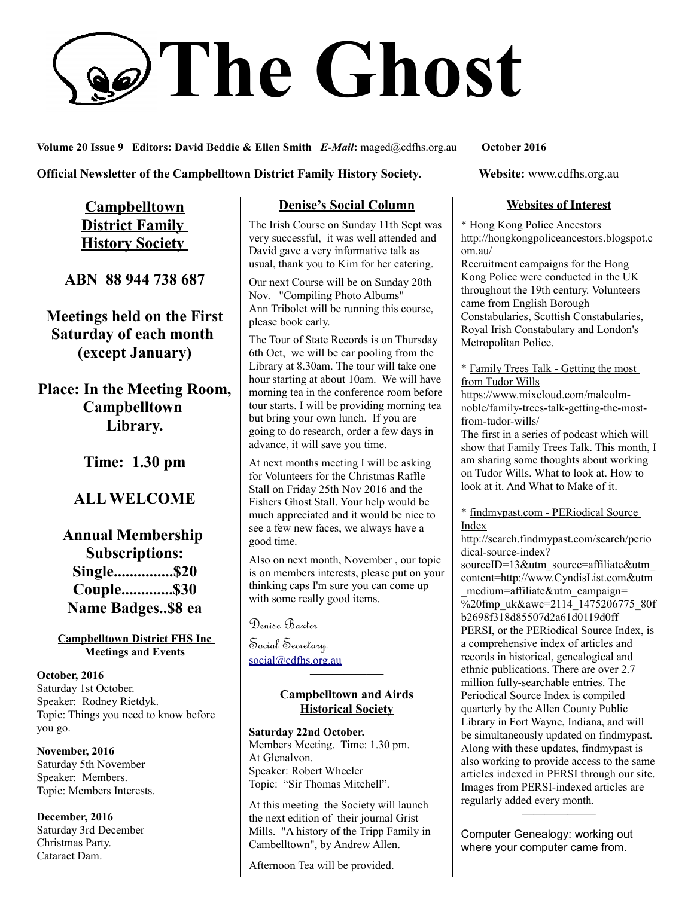# **The Ghost**

**Volume 20 Issue 9 Editors: David Beddie & Ellen Smith** *E-Mail***:** maged@cdfhs.org.au **October 2016**

**Official Newsletter of the Campbelltown District Family History Society. Website: www.cdfhs.org.au** 

**Campbelltown District Family History Society** 

**ABN 88 944 738 687**

**Meetings held on the First Saturday of each month (except January)**

**Place: In the Meeting Room, Campbelltown Library.**

**Time: 1.30 pm**

# **ALL WELCOME**

**Annual Membership Subscriptions: Single...............\$20 Couple.............\$30 Name Badges..\$8 ea**

#### **Campbelltown District FHS Inc Meetings and Events**

**October, 2016** Saturday 1st October. Speaker: Rodney Rietdyk. Topic: Things you need to know before you go.

**November, 2016** Saturday 5th November Speaker: Members. Topic: Members Interests.

**December, 2016** Saturday 3rd December Christmas Party. Cataract Dam.

## **Denise's Social Column**

The Irish Course on Sunday 11th Sept was very successful, it was well attended and David gave a very informative talk as usual, thank you to Kim for her catering.

Our next Course will be on Sunday 20th Nov. "Compiling Photo Albums" Ann Tribolet will be running this course, please book early.

The Tour of State Records is on Thursday 6th Oct, we will be car pooling from the Library at 8.30am. The tour will take one hour starting at about 10am. We will have morning tea in the conference room before tour starts. I will be providing morning tea but bring your own lunch. If you are going to do research, order a few days in advance, it will save you time.

At next months meeting I will be asking for Volunteers for the Christmas Raffle Stall on Friday 25th Nov 2016 and the Fishers Ghost Stall. Your help would be much appreciated and it would be nice to see a few new faces, we always have a good time.

Also on next month, November , our topic is on members interests, please put on your thinking caps I'm sure you can come up with some really good items.

Denise Baxter

Social Secretary. [social@cdfhs.org.au](mailto:social@cdfhs.org.au)

## **Campbelltown and Airds Historical Society**

**——————–**

**Saturday 22nd October.** Members Meeting. Time: 1.30 pm. At Glenalvon. Speaker: Robert Wheeler Topic: "Sir Thomas Mitchell".

At this meeting the Society will launch the next edition of their journal Grist Mills. "A history of the Tripp Family in Cambelltown", by Andrew Allen.

Afternoon Tea will be provided.

### **Websites of Interest**

\* Hong Kong Police Ancestors http://hongkongpoliceancestors.blogspot.c om.au/

Recruitment campaigns for the Hong Kong Police were conducted in the UK throughout the 19th century. Volunteers came from English Borough Constabularies, Scottish Constabularies, Royal Irish Constabulary and London's Metropolitan Police.

\* Family Trees Talk - Getting the most from Tudor Wills

https://www.mixcloud.com/malcolmnoble/family-trees-talk-getting-the-mostfrom-tudor-wills/

The first in a series of podcast which will show that Family Trees Talk. This month, I am sharing some thoughts about working on Tudor Wills. What to look at. How to look at it. And What to Make of it.

\* findmypast.com - PERiodical Source Index

http://search.findmypast.com/search/perio dical-source-index? sourceID=13&utm\_source=affiliate&utm content=http://www.CyndisList.com&utm \_medium=affiliate&utm\_campaign= %20fmp\_uk&awc=2114\_1475206775\_80f b2698f318d85507d2a61d0119d0ff PERSI, or the PERiodical Source Index, is a comprehensive index of articles and records in historical, genealogical and ethnic publications. There are over 2.7 million fully-searchable entries. The Periodical Source Index is compiled quarterly by the Allen County Public Library in Fort Wayne, Indiana, and will be simultaneously updated on findmypast. Along with these updates, findmypast is also working to provide access to the same articles indexed in PERSI through our site. Images from PERSI-indexed articles are regularly added every month.

Computer Genealogy: working out where your computer came from.

**——————–**